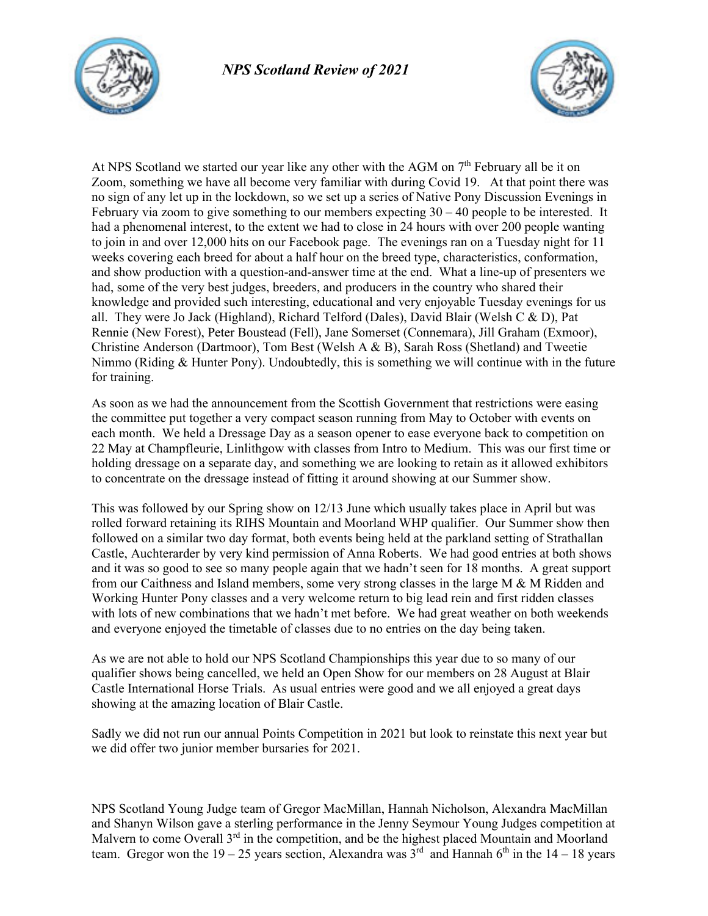



At NPS Scotland we started our year like any other with the AGM on 7<sup>th</sup> February all be it on Zoom, something we have all become very familiar with during Covid 19. At that point there was no sign of any let up in the lockdown, so we set up a series of Native Pony Discussion Evenings in February via zoom to give something to our members expecting  $30 - 40$  people to be interested. It had a phenomenal interest, to the extent we had to close in 24 hours with over 200 people wanting to join in and over 12,000 hits on our Facebook page. The evenings ran on a Tuesday night for 11 weeks covering each breed for about a half hour on the breed type, characteristics, conformation, and show production with a question-and-answer time at the end. What a line-up of presenters we had, some of the very best judges, breeders, and producers in the country who shared their knowledge and provided such interesting, educational and very enjoyable Tuesday evenings for us all. They were Jo Jack (Highland), Richard Telford (Dales), David Blair (Welsh C & D), Pat Rennie (New Forest), Peter Boustead (Fell), Jane Somerset (Connemara), Jill Graham (Exmoor), Christine Anderson (Dartmoor), Tom Best (Welsh A & B), Sarah Ross (Shetland) and Tweetie Nimmo (Riding  $\&$  Hunter Pony). Undoubtedly, this is something we will continue with in the future for training.

As soon as we had the announcement from the Scottish Government that restrictions were easing the committee put together a very compact season running from May to October with events on each month. We held a Dressage Day as a season opener to ease everyone back to competition on 22 May at Champfleurie, Linlithgow with classes from Intro to Medium. This was our first time or holding dressage on a separate day, and something we are looking to retain as it allowed exhibitors to concentrate on the dressage instead of fitting it around showing at our Summer show.

This was followed by our Spring show on 12/13 June which usually takes place in April but was rolled forward retaining its RIHS Mountain and Moorland WHP qualifier. Our Summer show then followed on a similar two day format, both events being held at the parkland setting of Strathallan Castle, Auchterarder by very kind permission of Anna Roberts. We had good entries at both shows and it was so good to see so many people again that we hadn't seen for 18 months. A great support from our Caithness and Island members, some very strong classes in the large  $M \& M$  Ridden and Working Hunter Pony classes and a very welcome return to big lead rein and first ridden classes with lots of new combinations that we hadn't met before. We had great weather on both weekends and everyone enjoyed the timetable of classes due to no entries on the day being taken.

As we are not able to hold our NPS Scotland Championships this year due to so many of our qualifier shows being cancelled, we held an Open Show for our members on 28 August at Blair Castle International Horse Trials. As usual entries were good and we all enjoyed a great days showing at the amazing location of Blair Castle.

Sadly we did not run our annual Points Competition in 2021 but look to reinstate this next year but we did offer two junior member bursaries for 2021.

NPS Scotland Young Judge team of Gregor MacMillan, Hannah Nicholson, Alexandra MacMillan and Shanyn Wilson gave a sterling performance in the Jenny Seymour Young Judges competition at Malvern to come Overall 3<sup>rd</sup> in the competition, and be the highest placed Mountain and Moorland team. Gregor won the  $19 - 25$  years section, Alexandra was  $3<sup>rd</sup>$  and Hannah 6<sup>th</sup> in the  $14 - 18$  years